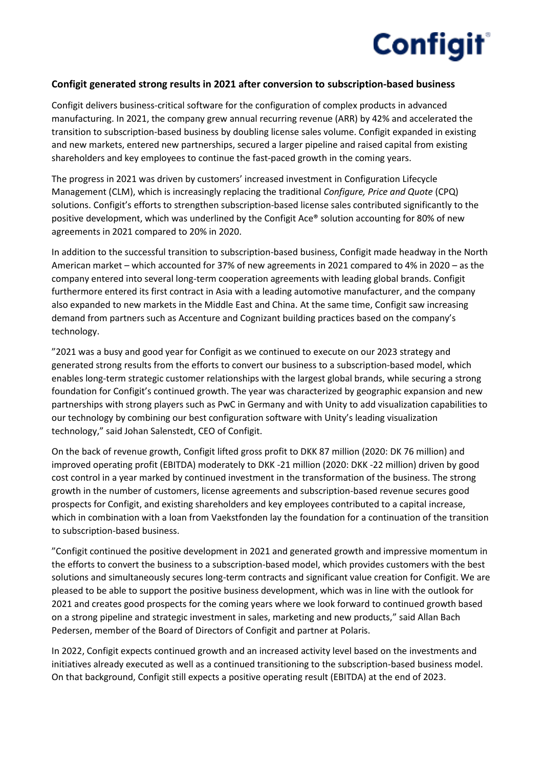

## **Configit generated strong results in 2021 after conversion to subscription-based business**

Configit delivers business-critical software for the configuration of complex products in advanced manufacturing. In 2021, the company grew annual recurring revenue (ARR) by 42% and accelerated the transition to subscription-based business by doubling license sales volume. Configit expanded in existing and new markets, entered new partnerships, secured a larger pipeline and raised capital from existing shareholders and key employees to continue the fast-paced growth in the coming years.

The progress in 2021 was driven by customers' increased investment in Configuration Lifecycle Management (CLM), which is increasingly replacing the traditional *Configure, Price and Quote* (CPQ) solutions. Configit's efforts to strengthen subscription-based license sales contributed significantly to the positive development, which was underlined by the Configit Ace® solution accounting for 80% of new agreements in 2021 compared to 20% in 2020.

In addition to the successful transition to subscription-based business, Configit made headway in the North American market – which accounted for 37% of new agreements in 2021 compared to 4% in 2020 – as the company entered into several long-term cooperation agreements with leading global brands. Configit furthermore entered its first contract in Asia with a leading automotive manufacturer, and the company also expanded to new markets in the Middle East and China. At the same time, Configit saw increasing demand from partners such as Accenture and Cognizant building practices based on the company's technology.

"2021 was a busy and good year for Configit as we continued to execute on our 2023 strategy and generated strong results from the efforts to convert our business to a subscription-based model, which enables long-term strategic customer relationships with the largest global brands, while securing a strong foundation for Configit's continued growth. The year was characterized by geographic expansion and new partnerships with strong players such as PwC in Germany and with Unity to add visualization capabilities to our technology by combining our best configuration software with Unity's leading visualization technology," said Johan Salenstedt, CEO of Configit.

On the back of revenue growth, Configit lifted gross profit to DKK 87 million (2020: DK 76 million) and improved operating profit (EBITDA) moderately to DKK -21 million (2020: DKK -22 million) driven by good cost control in a year marked by continued investment in the transformation of the business. The strong growth in the number of customers, license agreements and subscription-based revenue secures good prospects for Configit, and existing shareholders and key employees contributed to a capital increase, which in combination with a loan from Vaekstfonden lay the foundation for a continuation of the transition to subscription-based business.

"Configit continued the positive development in 2021 and generated growth and impressive momentum in the efforts to convert the business to a subscription-based model, which provides customers with the best solutions and simultaneously secures long-term contracts and significant value creation for Configit. We are pleased to be able to support the positive business development, which was in line with the outlook for 2021 and creates good prospects for the coming years where we look forward to continued growth based on a strong pipeline and strategic investment in sales, marketing and new products," said Allan Bach Pedersen, member of the Board of Directors of Configit and partner at Polaris.

In 2022, Configit expects continued growth and an increased activity level based on the investments and initiatives already executed as well as a continued transitioning to the subscription-based business model. On that background, Configit still expects a positive operating result (EBITDA) at the end of 2023.